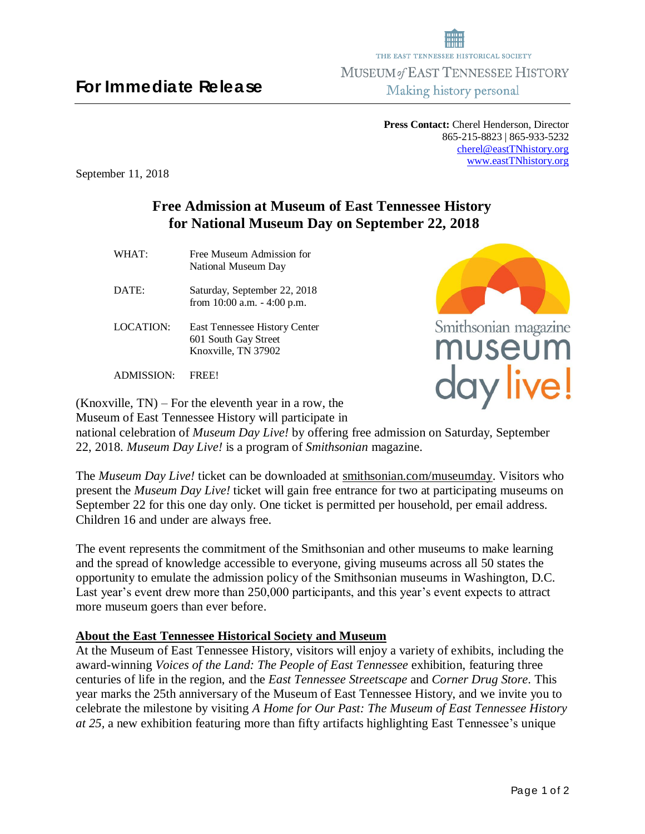# **For Immediate Release**

**Press Contact:** Cherel Henderson, Director 865-215-8823 | 865-933-5232 [cherel@eastTNhistory.org](mailto:cherel@eastTNhistory.org) [www.eastTNhistory.org](http://www.easttnhistory.org/)

September 11, 2018

# **Free Admission at Museum of East Tennessee History for National Museum Day on September 22, 2018**

- WHAT: Free Museum Admission for National Museum Day
- DATE: Saturday, September 22, 2018 from 10:00 a.m. - 4:00 p.m.
- LOCATION: East Tennessee History Center 601 South Gay Street Knoxville, TN 37902

ADMISSION: FREE!

(Knoxville, TN) – For the eleventh year in a row, the Museum of East Tennessee History will participate in

national celebration of *Museum Day Live!* by offering free admission on Saturday, September 22, 2018. *Museum Day Live!* is a program of *Smithsonian* magazine.

The *Museum Day Live!* ticket can be downloaded at smithsonian.com/museumday. Visitors who present the *Museum Day Live!* ticket will gain free entrance for two at participating museums on September 22 for this one day only. One ticket is permitted per household, per email address. Children 16 and under are always free.

The event represents the commitment of the Smithsonian and other museums to make learning and the spread of knowledge accessible to everyone, giving museums across all 50 states the opportunity to emulate the admission policy of the Smithsonian museums in Washington, D.C. Last year's event drew more than 250,000 participants, and this year's event expects to attract more museum goers than ever before.

## **About the East Tennessee Historical Society and Museum**

At the Museum of East Tennessee History, visitors will enjoy a variety of exhibits, including the award-winning *Voices of the Land: The People of East Tennessee* exhibition, featuring three centuries of life in the region, and the *East Tennessee Streetscape* and *Corner Drug Store*. This year marks the 25th anniversary of the Museum of East Tennessee History, and we invite you to celebrate the milestone by visiting *A Home for Our Past: The Museum of East Tennessee History at 25,* a new exhibition featuring more than fifty artifacts highlighting East Tennessee's unique



day live!



THE EAST TENNESSEE HISTORICAL SOCIETY MUSEUM of EAST TENNESSEE HISTORY